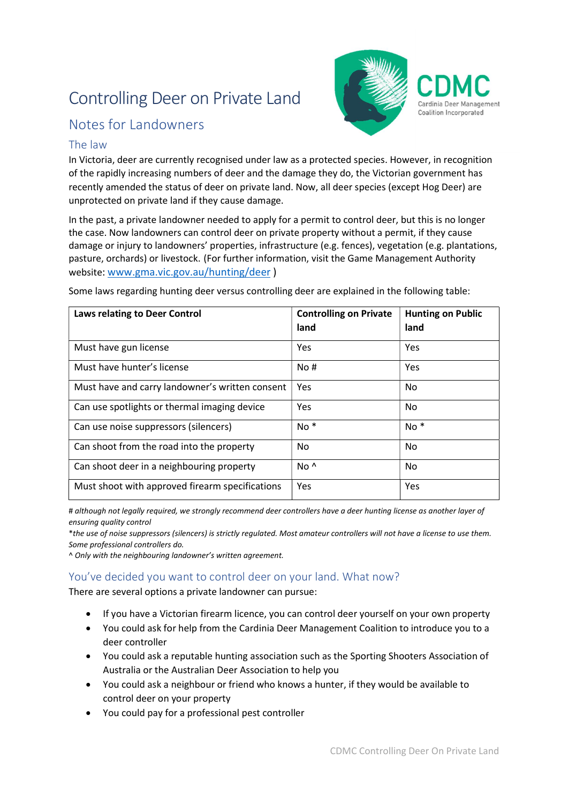# Controlling Deer on Private Land



## Notes for Landowners

### The law

In Victoria, deer are currently recognised under law as a protected species. However, in recognition of the rapidly increasing numbers of deer and the damage they do, the Victorian government has recently amended the status of deer on private land. Now, all deer species (except Hog Deer) are unprotected on private land if they cause damage.

In the past, a private landowner needed to apply for a permit to control deer, but this is no longer the case. Now landowners can control deer on private property without a permit, if they cause damage or injury to landowners' properties, infrastructure (e.g. fences), vegetation (e.g. plantations, pasture, orchards) or livestock. (For further information, visit the Game Management Authority website: www.gma.vic.gov.au/hunting/deer )

| <b>Laws relating to Deer Control</b>            | <b>Controlling on Private</b><br>land | <b>Hunting on Public</b><br>land |
|-------------------------------------------------|---------------------------------------|----------------------------------|
| Must have gun license                           | Yes                                   | Yes                              |
| Must have hunter's license                      | No#                                   | Yes                              |
| Must have and carry landowner's written consent | Yes                                   | No.                              |
| Can use spotlights or thermal imaging device    | Yes                                   | No                               |
| Can use noise suppressors (silencers)           | $No *$                                | $No *$                           |
| Can shoot from the road into the property       | No                                    | No                               |
| Can shoot deer in a neighbouring property       | $No^{\Lambda}$                        | No.                              |
| Must shoot with approved firearm specifications | Yes                                   | Yes                              |

Some laws regarding hunting deer versus controlling deer are explained in the following table:

# although not legally required, we strongly recommend deer controllers have a deer hunting license as another layer of ensuring quality control

\*the use of noise suppressors (silencers) is strictly regulated. Most amateur controllers will not have a license to use them. Some professional controllers do.

^ Only with the neighbouring landowner's written agreement.

## You've decided you want to control deer on your land. What now?

There are several options a private landowner can pursue:

- If you have a Victorian firearm licence, you can control deer yourself on your own property
- You could ask for help from the Cardinia Deer Management Coalition to introduce you to a deer controller
- You could ask a reputable hunting association such as the Sporting Shooters Association of Australia or the Australian Deer Association to help you
- You could ask a neighbour or friend who knows a hunter, if they would be available to control deer on your property
- You could pay for a professional pest controller